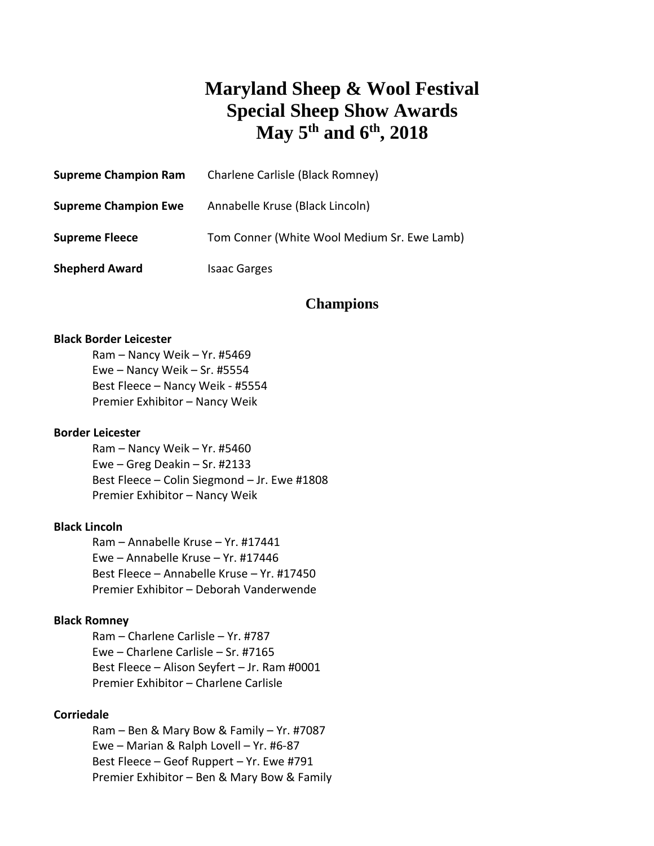# **Maryland Sheep & Wool Festival Special Sheep Show Awards May 5 th and 6th , 2018**

| <b>Supreme Champion Ram</b> | Charlene Carlisle (Black Romney)            |
|-----------------------------|---------------------------------------------|
| <b>Supreme Champion Ewe</b> | Annabelle Kruse (Black Lincoln)             |
| <b>Supreme Fleece</b>       | Tom Conner (White Wool Medium Sr. Ewe Lamb) |
| <b>Shepherd Award</b>       | <b>Isaac Garges</b>                         |

# **Champions**

## **Black Border Leicester**

Ram – Nancy Weik – Yr. #5469 Ewe – Nancy Weik – Sr. #5554 Best Fleece – Nancy Weik - #5554 Premier Exhibitor – Nancy Weik

#### **Border Leicester**

Ram – Nancy Weik – Yr. #5460 Ewe – Greg Deakin – Sr. #2133 Best Fleece – Colin Siegmond – Jr. Ewe #1808 Premier Exhibitor – Nancy Weik

#### **Black Lincoln**

Ram – Annabelle Kruse – Yr. #17441 Ewe – Annabelle Kruse – Yr. #17446 Best Fleece – Annabelle Kruse – Yr. #17450 Premier Exhibitor – Deborah Vanderwende

#### **Black Romney**

Ram – Charlene Carlisle – Yr. #787 Ewe – Charlene Carlisle – Sr. #7165 Best Fleece – Alison Seyfert – Jr. Ram #0001 Premier Exhibitor – Charlene Carlisle

#### **Corriedale**

Ram – Ben & Mary Bow & Family – Yr. #7087 Ewe – Marian & Ralph Lovell – Yr. #6-87 Best Fleece – Geof Ruppert – Yr. Ewe #791 Premier Exhibitor – Ben & Mary Bow & Family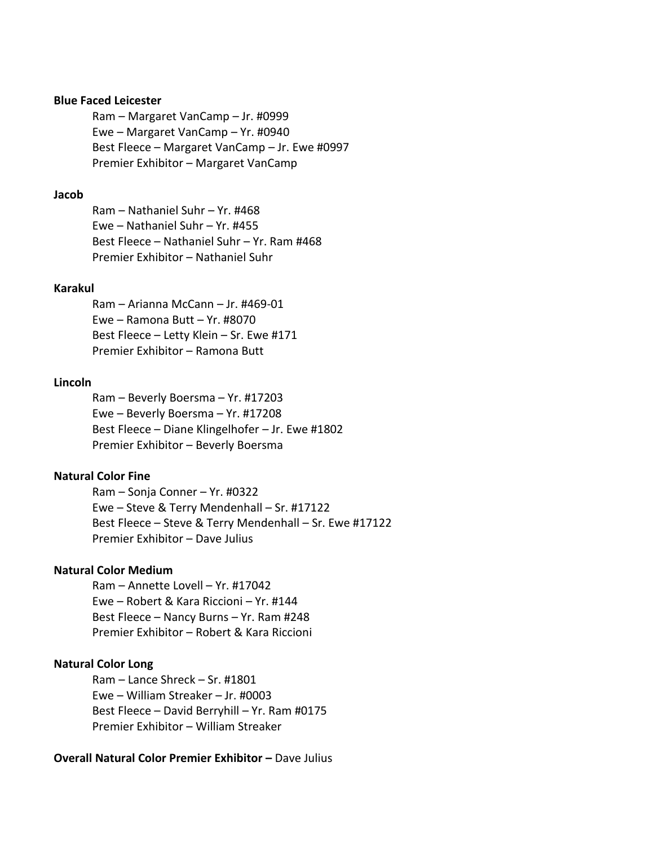## **Blue Faced Leicester**

Ram – Margaret VanCamp – Jr. #0999 Ewe – Margaret VanCamp – Yr. #0940 Best Fleece – Margaret VanCamp – Jr. Ewe #0997 Premier Exhibitor – Margaret VanCamp

#### **Jacob**

Ram – Nathaniel Suhr – Yr. #468 Ewe – Nathaniel Suhr – Yr. #455 Best Fleece – Nathaniel Suhr – Yr. Ram #468 Premier Exhibitor – Nathaniel Suhr

## **Karakul**

Ram – Arianna McCann – Jr. #469-01 Ewe – Ramona Butt – Yr. #8070 Best Fleece – Letty Klein – Sr. Ewe #171 Premier Exhibitor – Ramona Butt

## **Lincoln**

Ram – Beverly Boersma – Yr. #17203 Ewe – Beverly Boersma – Yr. #17208 Best Fleece – Diane Klingelhofer – Jr. Ewe #1802 Premier Exhibitor – Beverly Boersma

## **Natural Color Fine**

Ram – Sonja Conner – Yr. #0322 Ewe – Steve & Terry Mendenhall – Sr. #17122 Best Fleece – Steve & Terry Mendenhall – Sr. Ewe #17122 Premier Exhibitor – Dave Julius

# **Natural Color Medium**

Ram – Annette Lovell – Yr. #17042 Ewe – Robert & Kara Riccioni – Yr. #144 Best Fleece – Nancy Burns – Yr. Ram #248 Premier Exhibitor – Robert & Kara Riccioni

# **Natural Color Long**

Ram – Lance Shreck – Sr. #1801 Ewe – William Streaker – Jr. #0003 Best Fleece – David Berryhill – Yr. Ram #0175 Premier Exhibitor – William Streaker

# **Overall Natural Color Premier Exhibitor - Dave Julius**